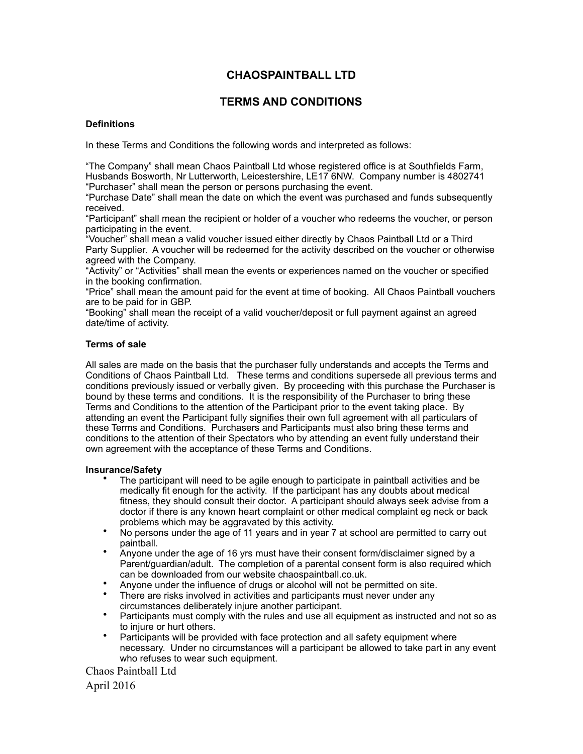# **CHAOSPAINTBALL LTD**

# **TERMS AND CONDITIONS**

## **Definitions**

In these Terms and Conditions the following words and interpreted as follows:

"The Company" shall mean Chaos Paintball Ltd whose registered office is at Southfields Farm, Husbands Bosworth, Nr Lutterworth, Leicestershire, LE17 6NW. Company number is 4802741 "Purchaser" shall mean the person or persons purchasing the event.

"Purchase Date" shall mean the date on which the event was purchased and funds subsequently received.

"Participant" shall mean the recipient or holder of a voucher who redeems the voucher, or person participating in the event.

"Voucher" shall mean a valid voucher issued either directly by Chaos Paintball Ltd or a Third Party Supplier. A voucher will be redeemed for the activity described on the voucher or otherwise agreed with the Company.

"Activity" or "Activities" shall mean the events or experiences named on the voucher or specified in the booking confirmation.

"Price" shall mean the amount paid for the event at time of booking. All Chaos Paintball vouchers are to be paid for in GBP.

"Booking" shall mean the receipt of a valid voucher/deposit or full payment against an agreed date/time of activity.

## **Terms of sale**

All sales are made on the basis that the purchaser fully understands and accepts the Terms and Conditions of Chaos Paintball Ltd. These terms and conditions supersede all previous terms and conditions previously issued or verbally given. By proceeding with this purchase the Purchaser is bound by these terms and conditions. It is the responsibility of the Purchaser to bring these Terms and Conditions to the attention of the Participant prior to the event taking place. By attending an event the Participant fully signifies their own full agreement with all particulars of these Terms and Conditions. Purchasers and Participants must also bring these terms and conditions to the attention of their Spectators who by attending an event fully understand their own agreement with the acceptance of these Terms and Conditions.

## **Insurance/Safety**

- The participant will need to be agile enough to participate in paintball activities and be medically fit enough for the activity. If the participant has any doubts about medical fitness, they should consult their doctor. A participant should always seek advise from a doctor if there is any known heart complaint or other medical complaint eg neck or back problems which may be aggravated by this activity.
- No persons under the age of 11 years and in year 7 at school are permitted to carry out paintball.
- Anyone under the age of 16 yrs must have their consent form/disclaimer signed by a Parent/guardian/adult. The completion of a parental consent form is also required which can be downloaded from our website chaospaintball.co.uk.
- Anyone under the influence of drugs or alcohol will not be permitted on site.
- There are risks involved in activities and participants must never under any circumstances deliberately injure another participant.
- Participants must comply with the rules and use all equipment as instructed and not so as to injure or hurt others.
- Participants will be provided with face protection and all safety equipment where necessary. Under no circumstances will a participant be allowed to take part in any event who refuses to wear such equipment.

Chaos Paintball Ltd

April 2016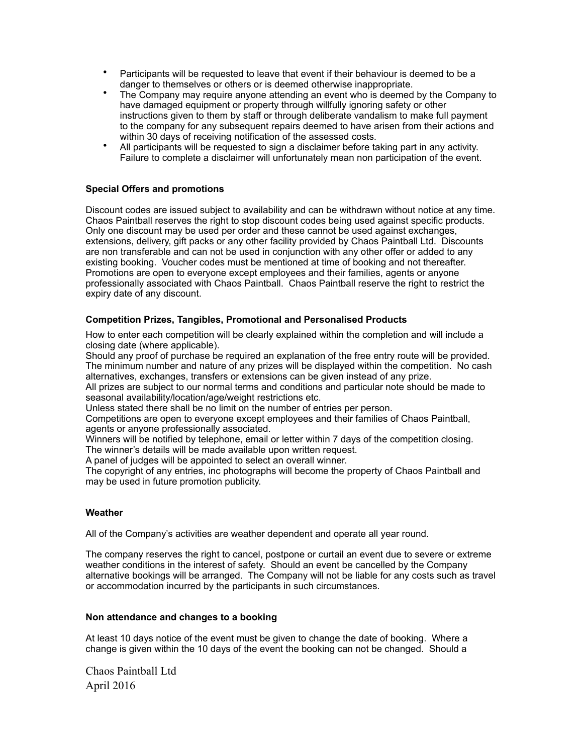- Participants will be requested to leave that event if their behaviour is deemed to be a danger to themselves or others or is deemed otherwise inappropriate.
- The Company may require anyone attending an event who is deemed by the Company to have damaged equipment or property through willfully ignoring safety or other instructions given to them by staff or through deliberate vandalism to make full payment to the company for any subsequent repairs deemed to have arisen from their actions and within 30 days of receiving notification of the assessed costs.
- All participants will be requested to sign a disclaimer before taking part in any activity. Failure to complete a disclaimer will unfortunately mean non participation of the event.

# **Special Offers and promotions**

Discount codes are issued subject to availability and can be withdrawn without notice at any time. Chaos Paintball reserves the right to stop discount codes being used against specific products. Only one discount may be used per order and these cannot be used against exchanges, extensions, delivery, gift packs or any other facility provided by Chaos Paintball Ltd. Discounts are non transferable and can not be used in conjunction with any other offer or added to any existing booking. Voucher codes must be mentioned at time of booking and not thereafter. Promotions are open to everyone except employees and their families, agents or anyone professionally associated with Chaos Paintball. Chaos Paintball reserve the right to restrict the expiry date of any discount.

# **Competition Prizes, Tangibles, Promotional and Personalised Products**

How to enter each competition will be clearly explained within the completion and will include a closing date (where applicable).

Should any proof of purchase be required an explanation of the free entry route will be provided. The minimum number and nature of any prizes will be displayed within the competition. No cash alternatives, exchanges, transfers or extensions can be given instead of any prize.

All prizes are subject to our normal terms and conditions and particular note should be made to seasonal availability/location/age/weight restrictions etc.

Unless stated there shall be no limit on the number of entries per person.

Competitions are open to everyone except employees and their families of Chaos Paintball, agents or anyone professionally associated.

Winners will be notified by telephone, email or letter within 7 days of the competition closing. The winner's details will be made available upon written request.

A panel of judges will be appointed to select an overall winner.

The copyright of any entries, inc photographs will become the property of Chaos Paintball and may be used in future promotion publicity.

## **Weather**

All of the Company's activities are weather dependent and operate all year round.

The company reserves the right to cancel, postpone or curtail an event due to severe or extreme weather conditions in the interest of safety. Should an event be cancelled by the Company alternative bookings will be arranged. The Company will not be liable for any costs such as travel or accommodation incurred by the participants in such circumstances.

#### **Non attendance and changes to a booking**

At least 10 days notice of the event must be given to change the date of booking. Where a change is given within the 10 days of the event the booking can not be changed. Should a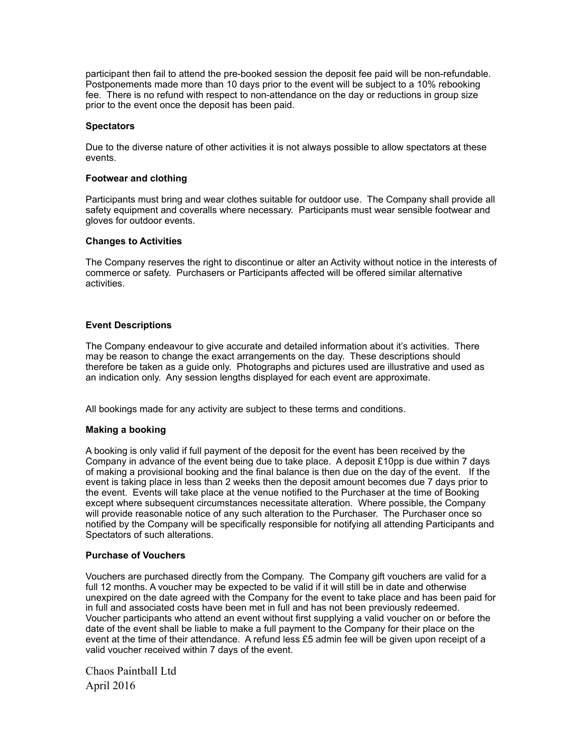participant then fail to attend the pre-booked session the deposit fee paid will be non-refundable. Postponements made more than 10 days prior to the event will be subject to a 10% rebooking fee. There is no refund with respect to non-attendance on the day or reductions in group size prior to the event once the deposit has been paid.

#### **Spectators**

Due to the diverse nature of other activities it is not always possible to allow spectators at these events.

#### **Footwear and clothing**

Participants must bring and wear clothes suitable for outdoor use. The Company shall provide all safety equipment and coveralls where necessary. Participants must wear sensible footwear and gloves for outdoor events.

#### **Changes to Activities**

The Company reserves the right to discontinue or alter an Activity without notice in the interests of commerce or safety. Purchasers or Participants affected will be offered similar alternative activities.

## **Event Descriptions**

The Company endeavour to give accurate and detailed information about it's activities. There may be reason to change the exact arrangements on the day. These descriptions should therefore be taken as a guide only. Photographs and pictures used are illustrative and used as an indication only. Any session lengths displayed for each event are approximate.

All bookings made for any activity are subject to these terms and conditions.

## **Making a booking**

A booking is only valid if full payment of the deposit for the event has been received by the Company in advance of the event being due to take place. A deposit £10pp is due within 7 days of making a provisional booking and the final balance is then due on the day of the event. If the event is taking place in less than 2 weeks then the deposit amount becomes due 7 days prior to the event. Events will take place at the venue notified to the Purchaser at the time of Booking except where subsequent circumstances necessitate alteration. Where possible, the Company will provide reasonable notice of any such alteration to the Purchaser. The Purchaser once so notified by the Company will be specifically responsible for notifying all attending Participants and Spectators of such alterations.

## **Purchase of Vouchers**

Vouchers are purchased directly from the Company. The Company gift vouchers are valid for a full 12 months. A voucher may be expected to be valid if it will still be in date and otherwise unexpired on the date agreed with the Company for the event to take place and has been paid for in full and associated costs have been met in full and has not been previously redeemed. Voucher participants who attend an event without first supplying a valid voucher on or before the date of the event shall be liable to make a full payment to the Company for their place on the event at the time of their attendance. A refund less £5 admin fee will be given upon receipt of a valid voucher received within 7 days of the event.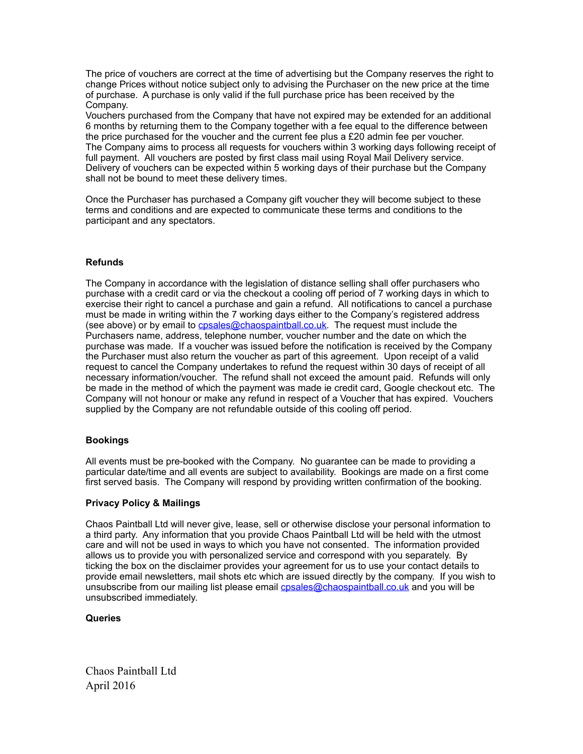The price of vouchers are correct at the time of advertising but the Company reserves the right to change Prices without notice subject only to advising the Purchaser on the new price at the time of purchase. A purchase is only valid if the full purchase price has been received by the Company.

Vouchers purchased from the Company that have not expired may be extended for an additional 6 months by returning them to the Company together with a fee equal to the difference between the price purchased for the voucher and the current fee plus a £20 admin fee per voucher. The Company aims to process all requests for vouchers within 3 working days following receipt of full payment. All vouchers are posted by first class mail using Royal Mail Delivery service. Delivery of vouchers can be expected within 5 working days of their purchase but the Company shall not be bound to meet these delivery times.

Once the Purchaser has purchased a Company gift voucher they will become subject to these terms and conditions and are expected to communicate these terms and conditions to the participant and any spectators.

# **Refunds**

The Company in accordance with the legislation of distance selling shall offer purchasers who purchase with a credit card or via the checkout a cooling off period of 7 working days in which to exercise their right to cancel a purchase and gain a refund. All notifications to cancel a purchase must be made in writing within the 7 working days either to the Company's registered address (see above) or by email to **cpsales@chaospaintball.co.uk**. The request must include the Purchasers name, address, telephone number, voucher number and the date on which the purchase was made. If a voucher was issued before the notification is received by the Company the Purchaser must also return the voucher as part of this agreement. Upon receipt of a valid request to cancel the Company undertakes to refund the request within 30 days of receipt of all necessary information/voucher. The refund shall not exceed the amount paid. Refunds will only be made in the method of which the payment was made ie credit card, Google checkout etc. The Company will not honour or make any refund in respect of a Voucher that has expired. Vouchers supplied by the Company are not refundable outside of this cooling off period.

## **Bookings**

All events must be pre-booked with the Company. No guarantee can be made to providing a particular date/time and all events are subject to availability. Bookings are made on a first come first served basis. The Company will respond by providing written confirmation of the booking.

## **Privacy Policy & Mailings**

Chaos Paintball Ltd will never give, lease, sell or otherwise disclose your personal information to a third party. Any information that you provide Chaos Paintball Ltd will be held with the utmost care and will not be used in ways to which you have not consented. The information provided allows us to provide you with personalized service and correspond with you separately. By ticking the box on the disclaimer provides your agreement for us to use your contact details to provide email newsletters, mail shots etc which are issued directly by the company. If you wish to unsubscribe from our mailing list please email [cpsales@chaospaintball.co.uk](mailto:cpsales@chaospaintball.co.uk) and you will be unsubscribed immediately.

## **Queries**